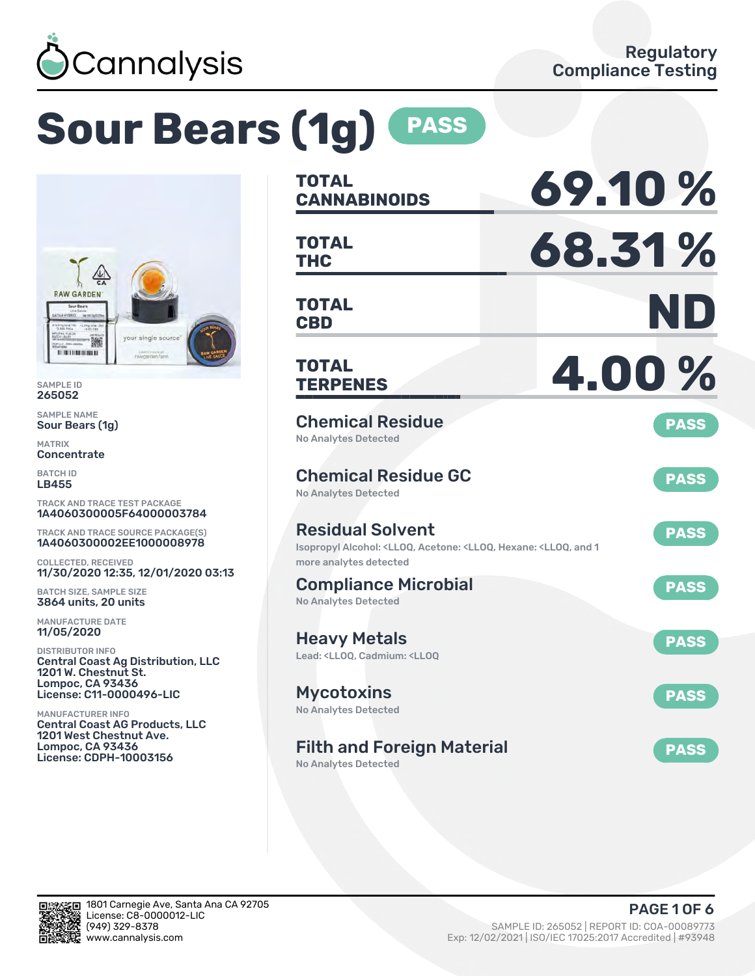

# **Sour Bears (1g) PASS**



SAMPLE ID 265052

SAMPLE NAME Sour Bears (1g)

MATRIX **Concentrate** 

BATCH ID LB455

TRACK AND TRACE TEST PACKAGE 1A4060300005F64000003784

TRACK AND TRACE SOURCE PACKAGE(S) 1A4060300002EE1000008978

COLLECTED, RECEIVED 11/30/2020 12:35, 12/01/2020 03:13

BATCH SIZE, SAMPLE SIZE 3864 units, 20 units

MANUFACTURE DATE 11/05/2020

DISTRIBUTOR INFO Central Coast Ag Distribution, LLC 1201 W. Chestnut St. Lompoc, CA 93436 License: C11-0000496-LIC

MANUFACTURER INFO Central Coast AG Products, LLC 1201 West Chestnut Ave. Lompoc, CA 93436 License: CDPH-10003156

| <b>TOTAL</b><br><b>CANNABINOIDS</b>                                                                                                 | 69.10%      |
|-------------------------------------------------------------------------------------------------------------------------------------|-------------|
| <b>TOTAL</b><br><b>THC</b>                                                                                                          | 68.31%      |
| <b>TOTAL</b><br><b>CBD</b>                                                                                                          | ND          |
| TOTAL<br><b>TERPENES</b>                                                                                                            | 4.00%       |
| <b>Chemical Residue</b><br><b>No Analytes Detected</b>                                                                              | <b>PASS</b> |
| <b>Chemical Residue GC</b><br><b>No Analytes Detected</b>                                                                           | <b>PASS</b> |
| <b>Residual Solvent</b><br>Isopropyl Alcohol: <lloq, 1<br="" <lloq,="" acetone:="" and="" hexane:="">more analytes detected</lloq,> | <b>PASS</b> |
| <b>Compliance Microbial</b><br><b>No Analytes Detected</b>                                                                          | <b>PASS</b> |
| <b>Heavy Metals</b><br>Lead: <ll00, <ll00<="" cadmium:="" td=""><td><b>PASS</b></td></ll00,>                                        | <b>PASS</b> |
| <b>Mycotoxins</b><br>No Analytes Detected                                                                                           | <b>PASS</b> |
| <b>Filth and Foreign Material</b>                                                                                                   | <b>PASS</b> |

No Analytes Detected

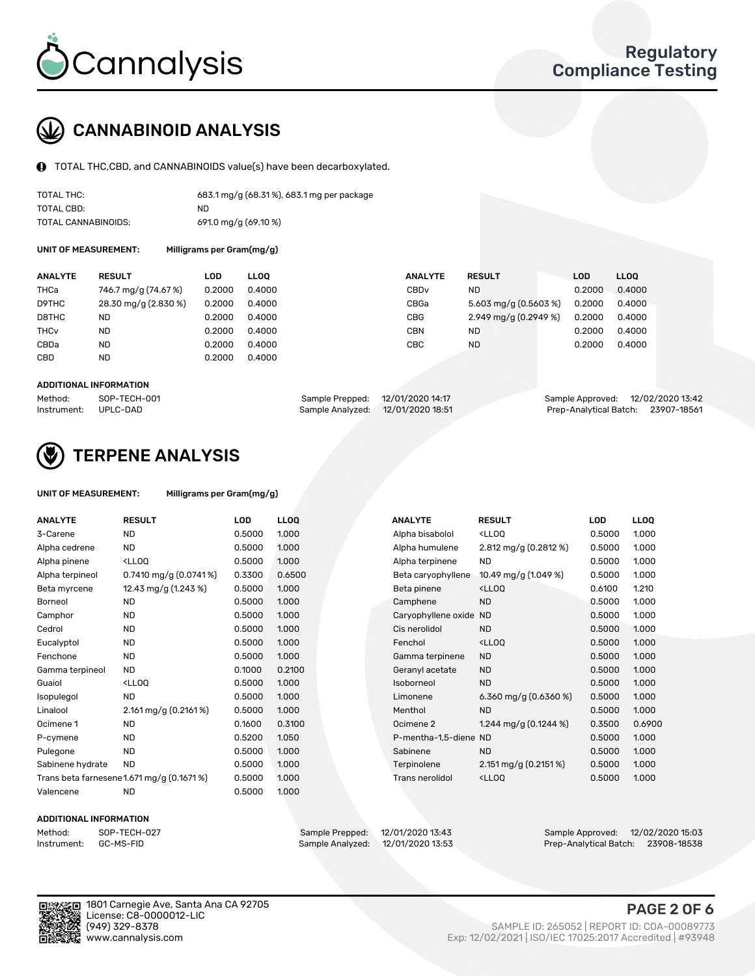

## CANNABINOID ANALYSIS

TOTAL THC,CBD, and CANNABINOIDS value(s) have been decarboxylated.

| TOTAL THC:          | 683.1 mg/g (68.31%), 683.1 mg per package |
|---------------------|-------------------------------------------|
| TOTAL CBD:          | ND.                                       |
| TOTAL CANNABINOIDS: | 691.0 mg/g (69.10 %)                      |

UNIT OF MEASUREMENT: Milligrams per Gram(mg/g)

| <b>RESULT</b>        | LOD    | <b>LLOO</b> | <b>ANALYTE</b>   | <b>RESULT</b>         | LOD    | LL <sub>00</sub> |
|----------------------|--------|-------------|------------------|-----------------------|--------|------------------|
| 746.7 mg/g (74.67 %) | 0.2000 | 0.4000      | CBD <sub>v</sub> | ND.                   | 0.2000 | 0.4000           |
| 28.30 mg/g (2.830 %) | 0.2000 | 0.4000      | CBGa             | 5.603 mg/g (0.5603 %) | 0.2000 | 0.4000           |
| <b>ND</b>            | 0.2000 | 0.4000      | CBG              | 2.949 mg/g (0.2949 %) | 0.2000 | 0.4000           |
| <b>ND</b>            | 0.2000 | 0.4000      | CBN              | ND.                   | 0.2000 | 0.4000           |
| <b>ND</b>            | 0.2000 | 0.4000      | CBC              | <b>ND</b>             | 0.2000 | 0.4000           |
| <b>ND</b>            | 0.2000 | 0.4000      |                  |                       |        |                  |
|                      |        |             |                  |                       |        |                  |

#### ADDITIONAL INFORMATION

| Method:              | SOP-TECH-001 | Sample Prepped: 12/01/2020 14:17  | Sample Approved: 12/02/2020 13:42  |  |
|----------------------|--------------|-----------------------------------|------------------------------------|--|
| Instrument: UPLC-DAD |              | Sample Analyzed: 12/01/2020 18:51 | Prep-Analytical Batch: 23907-18561 |  |



## TERPENE ANALYSIS

| UNIT OF MEASUREMENT: | Milligrams per Gram(mg/g) |
|----------------------|---------------------------|
|----------------------|---------------------------|

| <b>ANALYTE</b>   | <b>RESULT</b>                                                                                                             | <b>LOD</b> | <b>LLOQ</b> | <b>ANALYTE</b>         | <b>RESULT</b>                                      | <b>LOD</b> | <b>LLOQ</b> |
|------------------|---------------------------------------------------------------------------------------------------------------------------|------------|-------------|------------------------|----------------------------------------------------|------------|-------------|
| 3-Carene         | <b>ND</b>                                                                                                                 | 0.5000     | 1.000       | Alpha bisabolol        | <lloq< td=""><td>0.5000</td><td>1.000</td></lloq<> | 0.5000     | 1.000       |
| Alpha cedrene    | <b>ND</b>                                                                                                                 | 0.5000     | 1.000       | Alpha humulene         | 2.812 mg/g $(0.2812 \%)$                           | 0.5000     | 1.000       |
| Alpha pinene     | <lloq< td=""><td>0.5000</td><td>1.000</td><td>Alpha terpinene</td><td><b>ND</b></td><td>0.5000</td><td>1.000</td></lloq<> | 0.5000     | 1.000       | Alpha terpinene        | <b>ND</b>                                          | 0.5000     | 1.000       |
| Alpha terpineol  | $0.7410$ mg/g $(0.0741\%)$                                                                                                | 0.3300     | 0.6500      | Beta caryophyllene     | 10.49 mg/g (1.049 %)                               | 0.5000     | 1.000       |
| Beta myrcene     | 12.43 mg/g (1.243 %)                                                                                                      | 0.5000     | 1.000       | Beta pinene            | <lloq< td=""><td>0.6100</td><td>1.210</td></lloq<> | 0.6100     | 1.210       |
| Borneol          | <b>ND</b>                                                                                                                 | 0.5000     | 1.000       | Camphene               | <b>ND</b>                                          | 0.5000     | 1.000       |
| Camphor          | <b>ND</b>                                                                                                                 | 0.5000     | 1.000       | Caryophyllene oxide ND |                                                    | 0.5000     | 1.000       |
| Cedrol           | <b>ND</b>                                                                                                                 | 0.5000     | 1.000       | Cis nerolidol          | <b>ND</b>                                          | 0.5000     | 1.000       |
| Eucalyptol       | <b>ND</b>                                                                                                                 | 0.5000     | 1.000       | Fenchol                | <lloq< td=""><td>0.5000</td><td>1.000</td></lloq<> | 0.5000     | 1.000       |
| Fenchone         | <b>ND</b>                                                                                                                 | 0.5000     | 1.000       | Gamma terpinene        | <b>ND</b>                                          | 0.5000     | 1.000       |
| Gamma terpineol  | <b>ND</b>                                                                                                                 | 0.1000     | 0.2100      | Geranyl acetate        | <b>ND</b>                                          | 0.5000     | 1.000       |
| Guaiol           | <ll0q< td=""><td>0.5000</td><td>1.000</td><td>Isoborneol</td><td><b>ND</b></td><td>0.5000</td><td>1.000</td></ll0q<>      | 0.5000     | 1.000       | Isoborneol             | <b>ND</b>                                          | 0.5000     | 1.000       |
| Isopulegol       | <b>ND</b>                                                                                                                 | 0.5000     | 1.000       | Limonene               | 6.360 mg/g $(0.6360\%)$                            | 0.5000     | 1.000       |
| Linalool         | 2.161 mg/g (0.2161 %)                                                                                                     | 0.5000     | 1.000       | Menthol                | <b>ND</b>                                          | 0.5000     | 1.000       |
| Ocimene 1        | <b>ND</b>                                                                                                                 | 0.1600     | 0.3100      | Ocimene 2              | 1.244 mg/g $(0.1244\%)$                            | 0.3500     | 0.6900      |
| P-cymene         | <b>ND</b>                                                                                                                 | 0.5200     | 1.050       | P-mentha-1,5-diene ND  |                                                    | 0.5000     | 1.000       |
| Pulegone         | <b>ND</b>                                                                                                                 | 0.5000     | 1.000       | Sabinene               | <b>ND</b>                                          | 0.5000     | 1.000       |
| Sabinene hydrate | <b>ND</b>                                                                                                                 | 0.5000     | 1.000       | Terpinolene            | $2.151 \,\mathrm{mg/g}$ (0.2151 %)                 | 0.5000     | 1.000       |
|                  | Trans beta farnesene1.671 mg/g (0.1671 %)                                                                                 | 0.5000     | 1.000       | <b>Trans nerolidol</b> | <lloq< td=""><td>0.5000</td><td>1.000</td></lloq<> | 0.5000     | 1.000       |
| Valencene        | <b>ND</b>                                                                                                                 | 0.5000     | 1.000       |                        |                                                    |            |             |

#### ADDITIONAL INFORMATION

| Method:     | SOP-TECH  |
|-------------|-----------|
| Instrument: | GC-MS-FII |

Method: SOP-TECH-027 Sample Prepped: 12/01/2020 13:43 Sample Approved: 12/02/2020 15:03 Prep-Analytical Batch: 23908-18538



1801 Carnegie Ave, Santa Ana CA 92705 License: C8-0000012-LIC<br>(949) 329-8378

## PAGE 2 OF 6

(949) 329-8378 SAMPLE ID: 265052 | REPORT ID: COA-00089773 Exp: 12/02/2021 | ISO/IEC 17025:2017 Accredited | #93948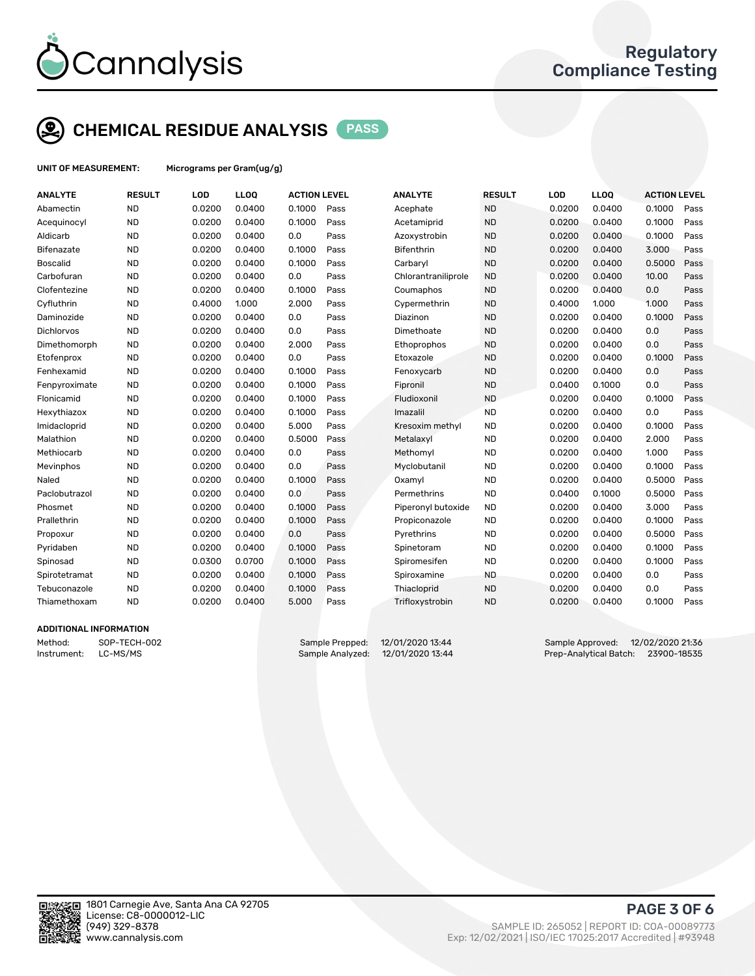

## CHEMICAL RESIDUE ANALYSIS PASS

UNIT OF MEASUREMENT: Micrograms per Gram(ug/g)

| <b>ANALYTE</b>    | <b>RESULT</b> | LOD    | <b>LLOQ</b> | <b>ACTION LEVEL</b> |      | <b>ANALYTE</b>      | <b>RESULT</b> | LOD    | <b>LLOQ</b> | <b>ACTION LEVEL</b> |      |
|-------------------|---------------|--------|-------------|---------------------|------|---------------------|---------------|--------|-------------|---------------------|------|
| Abamectin         | <b>ND</b>     | 0.0200 | 0.0400      | 0.1000              | Pass | Acephate            | <b>ND</b>     | 0.0200 | 0.0400      | 0.1000              | Pass |
| Acequinocyl       | <b>ND</b>     | 0.0200 | 0.0400      | 0.1000              | Pass | Acetamiprid         | <b>ND</b>     | 0.0200 | 0.0400      | 0.1000              | Pass |
| Aldicarb          | <b>ND</b>     | 0.0200 | 0.0400      | 0.0                 | Pass | Azoxystrobin        | <b>ND</b>     | 0.0200 | 0.0400      | 0.1000              | Pass |
| <b>Bifenazate</b> | <b>ND</b>     | 0.0200 | 0.0400      | 0.1000              | Pass | <b>Bifenthrin</b>   | <b>ND</b>     | 0.0200 | 0.0400      | 3.000               | Pass |
| <b>Boscalid</b>   | <b>ND</b>     | 0.0200 | 0.0400      | 0.1000              | Pass | Carbaryl            | <b>ND</b>     | 0.0200 | 0.0400      | 0.5000              | Pass |
| Carbofuran        | <b>ND</b>     | 0.0200 | 0.0400      | 0.0                 | Pass | Chlorantraniliprole | <b>ND</b>     | 0.0200 | 0.0400      | 10.00               | Pass |
| Clofentezine      | <b>ND</b>     | 0.0200 | 0.0400      | 0.1000              | Pass | Coumaphos           | <b>ND</b>     | 0.0200 | 0.0400      | 0.0                 | Pass |
| Cyfluthrin        | <b>ND</b>     | 0.4000 | 1.000       | 2.000               | Pass | Cypermethrin        | <b>ND</b>     | 0.4000 | 1.000       | 1.000               | Pass |
| Daminozide        | <b>ND</b>     | 0.0200 | 0.0400      | 0.0                 | Pass | Diazinon            | <b>ND</b>     | 0.0200 | 0.0400      | 0.1000              | Pass |
| <b>Dichlorvos</b> | <b>ND</b>     | 0.0200 | 0.0400      | 0.0                 | Pass | Dimethoate          | <b>ND</b>     | 0.0200 | 0.0400      | 0.0                 | Pass |
| Dimethomorph      | <b>ND</b>     | 0.0200 | 0.0400      | 2.000               | Pass | Ethoprophos         | <b>ND</b>     | 0.0200 | 0.0400      | 0.0                 | Pass |
| Etofenprox        | <b>ND</b>     | 0.0200 | 0.0400      | 0.0                 | Pass | Etoxazole           | <b>ND</b>     | 0.0200 | 0.0400      | 0.1000              | Pass |
| Fenhexamid        | <b>ND</b>     | 0.0200 | 0.0400      | 0.1000              | Pass | Fenoxycarb          | <b>ND</b>     | 0.0200 | 0.0400      | 0.0                 | Pass |
| Fenpyroximate     | <b>ND</b>     | 0.0200 | 0.0400      | 0.1000              | Pass | Fipronil            | <b>ND</b>     | 0.0400 | 0.1000      | 0.0                 | Pass |
| Flonicamid        | <b>ND</b>     | 0.0200 | 0.0400      | 0.1000              | Pass | Fludioxonil         | <b>ND</b>     | 0.0200 | 0.0400      | 0.1000              | Pass |
| Hexythiazox       | <b>ND</b>     | 0.0200 | 0.0400      | 0.1000              | Pass | Imazalil            | <b>ND</b>     | 0.0200 | 0.0400      | 0.0                 | Pass |
| Imidacloprid      | <b>ND</b>     | 0.0200 | 0.0400      | 5.000               | Pass | Kresoxim methyl     | <b>ND</b>     | 0.0200 | 0.0400      | 0.1000              | Pass |
| Malathion         | <b>ND</b>     | 0.0200 | 0.0400      | 0.5000              | Pass | Metalaxyl           | <b>ND</b>     | 0.0200 | 0.0400      | 2.000               | Pass |
| Methiocarb        | <b>ND</b>     | 0.0200 | 0.0400      | 0.0                 | Pass | Methomyl            | <b>ND</b>     | 0.0200 | 0.0400      | 1.000               | Pass |
| Mevinphos         | <b>ND</b>     | 0.0200 | 0.0400      | 0.0                 | Pass | Myclobutanil        | <b>ND</b>     | 0.0200 | 0.0400      | 0.1000              | Pass |
| Naled             | <b>ND</b>     | 0.0200 | 0.0400      | 0.1000              | Pass | Oxamyl              | <b>ND</b>     | 0.0200 | 0.0400      | 0.5000              | Pass |
| Paclobutrazol     | <b>ND</b>     | 0.0200 | 0.0400      | 0.0                 | Pass | Permethrins         | <b>ND</b>     | 0.0400 | 0.1000      | 0.5000              | Pass |
| Phosmet           | <b>ND</b>     | 0.0200 | 0.0400      | 0.1000              | Pass | Piperonyl butoxide  | <b>ND</b>     | 0.0200 | 0.0400      | 3.000               | Pass |
| Prallethrin       | <b>ND</b>     | 0.0200 | 0.0400      | 0.1000              | Pass | Propiconazole       | <b>ND</b>     | 0.0200 | 0.0400      | 0.1000              | Pass |
| Propoxur          | <b>ND</b>     | 0.0200 | 0.0400      | 0.0                 | Pass | Pyrethrins          | <b>ND</b>     | 0.0200 | 0.0400      | 0.5000              | Pass |
| Pyridaben         | <b>ND</b>     | 0.0200 | 0.0400      | 0.1000              | Pass | Spinetoram          | <b>ND</b>     | 0.0200 | 0.0400      | 0.1000              | Pass |
| Spinosad          | <b>ND</b>     | 0.0300 | 0.0700      | 0.1000              | Pass | Spiromesifen        | <b>ND</b>     | 0.0200 | 0.0400      | 0.1000              | Pass |
| Spirotetramat     | <b>ND</b>     | 0.0200 | 0.0400      | 0.1000              | Pass | Spiroxamine         | <b>ND</b>     | 0.0200 | 0.0400      | 0.0                 | Pass |
| Tebuconazole      | <b>ND</b>     | 0.0200 | 0.0400      | 0.1000              | Pass | Thiacloprid         | <b>ND</b>     | 0.0200 | 0.0400      | 0.0                 | Pass |
| Thiamethoxam      | <b>ND</b>     | 0.0200 | 0.0400      | 5.000               | Pass | Trifloxystrobin     | <b>ND</b>     | 0.0200 | 0.0400      | 0.1000              | Pass |
|                   |               |        |             |                     |      |                     |               |        |             |                     |      |

#### ADDITIONAL INFORMATION

Method: SOP-TECH-002 Sample Prepped: 12/01/2020 13:44 Sample Approved: 12/02/2020 21:36 Instrument: LC-MS/MS COMEXANDER Sample Analyzed: 12/01/2020 13:44 Prep-Analytical Batch: 23900-18535



PAGE 3 OF 6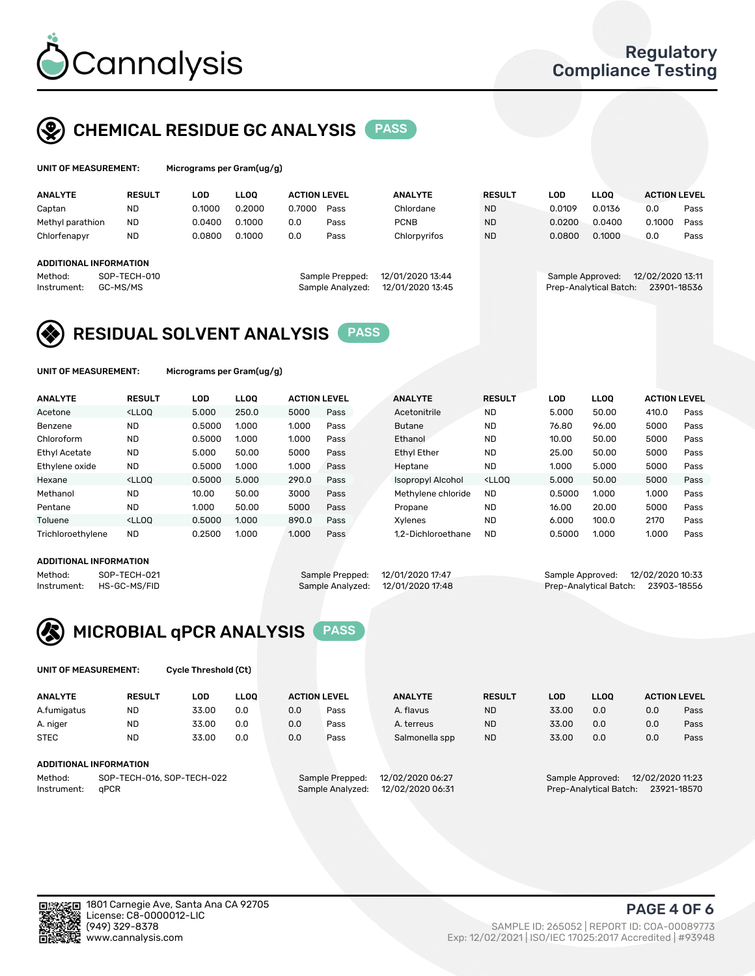

## CHEMICAL RESIDUE GC ANALYSIS PASS

| UNIT OF MEASUREMENT: | Microgra |
|----------------------|----------|
|                      |          |

ims per Gram(ug/g)

| <b>ANALYTE</b>         | <b>RESULT</b>            | LOD    | <b>LLOO</b> | <b>ACTION LEVEL</b> |                                     | <b>ANALYTE</b>                       | <b>RESULT</b> | LOD    | <b>LLOO</b>                                | <b>ACTION LEVEL</b> |             |
|------------------------|--------------------------|--------|-------------|---------------------|-------------------------------------|--------------------------------------|---------------|--------|--------------------------------------------|---------------------|-------------|
| Captan                 | <b>ND</b>                | 0.1000 | 0.2000      | 0.7000              | Pass                                | Chlordane                            | <b>ND</b>     | 0.0109 | 0.0136                                     | 0.0                 | Pass        |
| Methyl parathion       | <b>ND</b>                | 0.0400 | 0.1000      | 0.0                 | Pass                                | <b>PCNB</b>                          | <b>ND</b>     | 0.0200 | 0.0400                                     | 0.1000              | Pass        |
| Chlorfenapyr           | <b>ND</b>                | 0.0800 | 0.1000      | 0.0                 | Pass                                | Chlorpyrifos                         | <b>ND</b>     | 0.0800 | 0.1000                                     | 0.0                 | Pass        |
| ADDITIONAL INFORMATION |                          |        |             |                     |                                     |                                      |               |        |                                            |                     |             |
| Method:<br>Instrument: | SOP-TECH-010<br>GC-MS/MS |        |             |                     | Sample Prepped:<br>Sample Analyzed: | 12/01/2020 13:44<br>12/01/2020 13:45 |               |        | Sample Approved:<br>Prep-Analytical Batch: | 12/02/2020 13:11    | 23901-18536 |

## RESIDUAL SOLVENT ANALYSIS PASS

UNIT OF MEASUREMENT: Micrograms per Gram(ug/g)

| <b>ANALYTE</b>       | <b>RESULT</b>                                                                                                                                                                                      | LOD    | <b>LLOO</b> | <b>ACTION LEVEL</b> |      | <b>ANALYTE</b>           | <b>RESULT</b>                                                               | LOD    | LLOO  | <b>ACTION LEVEL</b> |      |
|----------------------|----------------------------------------------------------------------------------------------------------------------------------------------------------------------------------------------------|--------|-------------|---------------------|------|--------------------------|-----------------------------------------------------------------------------|--------|-------|---------------------|------|
| Acetone              | <lloo< td=""><td>5.000</td><td>250.0</td><td>5000</td><td>Pass</td><td>Acetonitrile</td><td><b>ND</b></td><td>5.000</td><td>50.00</td><td>410.0</td><td>Pass</td></lloo<>                          | 5.000  | 250.0       | 5000                | Pass | Acetonitrile             | <b>ND</b>                                                                   | 5.000  | 50.00 | 410.0               | Pass |
| Benzene              | <b>ND</b>                                                                                                                                                                                          | 0.5000 | 1.000       | 1.000               | Pass | <b>Butane</b>            | <b>ND</b>                                                                   | 76.80  | 96.00 | 5000                | Pass |
| Chloroform           | <b>ND</b>                                                                                                                                                                                          | 0.5000 | 1.000       | 1.000               | Pass | Ethanol                  | <b>ND</b>                                                                   | 10.00  | 50.00 | 5000                | Pass |
| <b>Ethyl Acetate</b> | <b>ND</b>                                                                                                                                                                                          | 5.000  | 50.00       | 5000                | Pass | <b>Ethyl Ether</b>       | <b>ND</b>                                                                   | 25.00  | 50.00 | 5000                | Pass |
| Ethylene oxide       | <b>ND</b>                                                                                                                                                                                          | 0.5000 | 1.000       | 1.000               | Pass | Heptane                  | <b>ND</b>                                                                   | 1.000  | 5.000 | 5000                | Pass |
| Hexane               | <lloo< td=""><td>0.5000</td><td>5.000</td><td>290.0</td><td>Pass</td><td><b>Isopropyl Alcohol</b></td><td><lloo< td=""><td>5.000</td><td>50.00</td><td>5000</td><td>Pass</td></lloo<></td></lloo<> | 0.5000 | 5.000       | 290.0               | Pass | <b>Isopropyl Alcohol</b> | <lloo< td=""><td>5.000</td><td>50.00</td><td>5000</td><td>Pass</td></lloo<> | 5.000  | 50.00 | 5000                | Pass |
| Methanol             | <b>ND</b>                                                                                                                                                                                          | 10.00  | 50.00       | 3000                | Pass | Methylene chloride       | <b>ND</b>                                                                   | 0.5000 | 1.000 | 1.000               | Pass |
| Pentane              | <b>ND</b>                                                                                                                                                                                          | 1.000  | 50.00       | 5000                | Pass | Propane                  | <b>ND</b>                                                                   | 16.00  | 20.00 | 5000                | Pass |
| Toluene              | <lloo< td=""><td>0.5000</td><td>1.000</td><td>890.0</td><td>Pass</td><td>Xvlenes</td><td><b>ND</b></td><td>6.000</td><td>100.0</td><td>2170</td><td>Pass</td></lloo<>                              | 0.5000 | 1.000       | 890.0               | Pass | Xvlenes                  | <b>ND</b>                                                                   | 6.000  | 100.0 | 2170                | Pass |
| Trichloroethylene    | <b>ND</b>                                                                                                                                                                                          | 0.2500 | 1.000       | 1.000               | Pass | 1.2-Dichloroethane       | <b>ND</b>                                                                   | 0.5000 | 1.000 | 1.000               | Pass |

#### ADDITIONAL INFORMATION

| ADDITIONAL INFORMATION |              |                                   |                                    |  |
|------------------------|--------------|-----------------------------------|------------------------------------|--|
| Method:                | SOP-TECH-021 | Sample Prepped: 12/01/2020 17:47  | Sample Approved: 12/02/2020 10:33  |  |
| Instrument:            | HS-GC-MS/FID | Sample Analyzed: 12/01/2020 17:48 | Prep-Analytical Batch: 23903-18556 |  |



UNIT OF MEASUREMENT: Cycle Threshold (Ct)

| <b>ANALYTE</b>                        | <b>RESULT</b> | LOD   | <b>LLOO</b> | <b>ACTION LEVEL</b> |                                     | <b>ANALYTE</b>   | <b>RESULT</b> | LOD                                  | <b>LLOO</b>            |     | <b>ACTION LEVEL</b> |
|---------------------------------------|---------------|-------|-------------|---------------------|-------------------------------------|------------------|---------------|--------------------------------------|------------------------|-----|---------------------|
| A.fumigatus                           | ND            | 33.00 | 0.0         | 0.0                 | Pass                                | A. flavus        | <b>ND</b>     | 33.00                                | 0.0                    | 0.0 | Pass                |
| A. niger                              | <b>ND</b>     | 33.00 | 0.0         | 0.0                 | Pass                                | A. terreus       | <b>ND</b>     | 33.00                                | 0.0                    | 0.0 | Pass                |
| <b>STEC</b>                           | <b>ND</b>     | 33.00 | 0.0         | 0.0                 | Pass                                | Salmonella spp   | <b>ND</b>     | 33.00                                | 0.0                    | 0.0 | Pass                |
|                                       |               |       |             |                     |                                     |                  |               |                                      |                        |     |                     |
| ADDITIONAL INFORMATION                |               |       |             |                     |                                     |                  |               |                                      |                        |     |                     |
| SOP-TECH-016, SOP-TECH-022<br>Method: |               |       |             |                     | 12/02/2020 06:27<br>Sample Prepped: |                  |               | 12/02/2020 11:23<br>Sample Approved: |                        |     |                     |
| Instrument:                           | aPCR          |       |             |                     | Sample Analyzed:                    | 12/02/2020 06:31 |               |                                      | Prep-Analytical Batch: |     | 23921-18570         |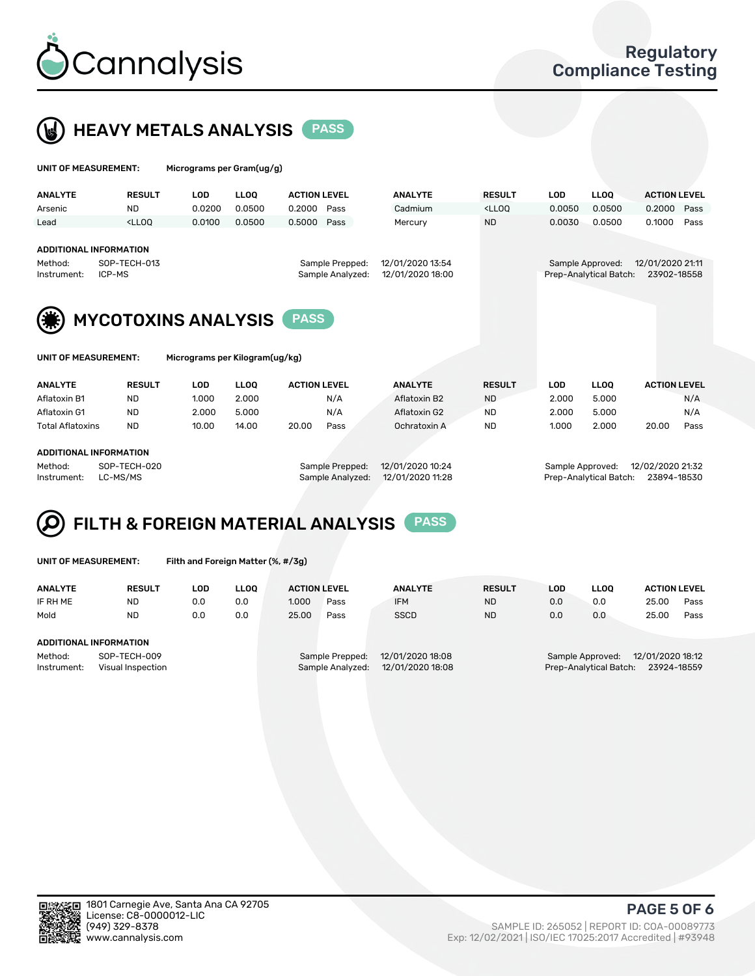

 $U$ UNIT OF MEASUREMENT: Micrograms per Gram(ug/g)



| <b>ANALYTE</b>                                                                                                                                            | <b>RESULT</b>                                                                                                                                                               | LOD    | <b>LLOO</b> | <b>ACTION LEVEL</b> |      | <b>ANALYTE</b> | <b>RESULT</b>                                                                   | <b>LOD</b> | <b>LLOO</b>                                | <b>ACTION LEVEL</b>             |      |
|-----------------------------------------------------------------------------------------------------------------------------------------------------------|-----------------------------------------------------------------------------------------------------------------------------------------------------------------------------|--------|-------------|---------------------|------|----------------|---------------------------------------------------------------------------------|------------|--------------------------------------------|---------------------------------|------|
| Arsenic                                                                                                                                                   | <b>ND</b>                                                                                                                                                                   | 0.0200 | 0.0500      | 0.2000              | Pass | Cadmium        | <lloq< th=""><th>0.0050</th><th>0.0500</th><th>0.2000</th><th>Pass</th></lloq<> | 0.0050     | 0.0500                                     | 0.2000                          | Pass |
| Lead                                                                                                                                                      | <lloq< th=""><th>0.0100</th><th>0.0500</th><th>0.5000</th><th>Pass</th><th>Mercury</th><th><b>ND</b></th><th>0.0030</th><th>0.0500</th><th>0.1000</th><th>Pass</th></lloq<> | 0.0100 | 0.0500      | 0.5000              | Pass | Mercury        | <b>ND</b>                                                                       | 0.0030     | 0.0500                                     | 0.1000                          | Pass |
| ADDITIONAL INFORMATION<br>12/01/2020 13:54<br>SOP-TECH-013<br>Sample Prepped:<br>Method:<br>12/01/2020 18:00<br>Sample Analyzed:<br>ICP-MS<br>Instrument: |                                                                                                                                                                             |        |             |                     |      |                |                                                                                 |            | Sample Approved:<br>Prep-Analytical Batch: | 12/01/2020 21:11<br>23902-18558 |      |
|                                                                                                                                                           | <b>MYCOTOXINS ANALYSIS</b>                                                                                                                                                  |        |             |                     |      |                |                                                                                 |            |                                            |                                 |      |

| UNII UF MEASUREMENI: | MIC |
|----------------------|-----|
|                      |     |
|                      |     |

| <b>OF MEASUREMENT:</b> | Micrograms per Kilogram(ug/kg) |
|------------------------|--------------------------------|
|                        |                                |

| <b>ANALYTE</b>          | <b>RESULT</b> | LOD   | <b>LLOO</b> | <b>ACTION LEVEL</b> |      | <b>ANALYTE</b> | <b>RESULT</b> | LOD   | <b>LLOO</b> | <b>ACTION LEVEL</b> |      |
|-------------------------|---------------|-------|-------------|---------------------|------|----------------|---------------|-------|-------------|---------------------|------|
| Aflatoxin B1            | <b>ND</b>     | 1.000 | 2.000       |                     | N/A  | Aflatoxin B2   | <b>ND</b>     | 2.000 | 5.000       |                     | N/A  |
| Aflatoxin G1            | <b>ND</b>     | 2.000 | 5.000       |                     | N/A  | Aflatoxin G2   | <b>ND</b>     | 2.000 | 5.000       |                     | N/A  |
| <b>Total Aflatoxins</b> | <b>ND</b>     | 10.00 | 14.00       | 20.00               | Pass | Ochratoxin A   | <b>ND</b>     | 1.000 | 2.000       | 20.00               | Pass |
|                         |               |       |             |                     |      |                |               |       |             |                     |      |

#### ADDITIONAL INFORMATION

Method: SOP-TECH-020 Sample Prepped: 12/01/2020 10:24 Sample Approved: 12/02/2020 21:32 Instrument: LC-MS/MS Sample Analyzed: 12/01/2020 11:28 Prep-Analytical Batch: 23894-18530

# FILTH & FOREIGN MATERIAL ANALYSIS PASS

UNIT OF MEASUREMENT: Filth and Foreign Matter (%, #/3g)

| <b>ANALYTE</b>                                              | <b>RESULT</b> | LOD | <b>LLOO</b> | <b>ACTION LEVEL</b> |                                     | <b>ANALYTE</b>                       | <b>RESULT</b> | LOD | <b>LLOO</b>                                | <b>ACTION LEVEL</b>             |      |
|-------------------------------------------------------------|---------------|-----|-------------|---------------------|-------------------------------------|--------------------------------------|---------------|-----|--------------------------------------------|---------------------------------|------|
| IF RH ME                                                    | ND            | 0.0 | 0.0         | 1.000               | Pass                                | <b>IFM</b>                           | <b>ND</b>     | 0.0 | 0.0                                        | 25.00                           | Pass |
| Mold                                                        | <b>ND</b>     | 0.0 | 0.0         | 25.00               | Pass                                | <b>SSCD</b>                          | <b>ND</b>     | 0.0 | 0.0                                        | 25.00                           | Pass |
| ADDITIONAL INFORMATION                                      |               |     |             |                     |                                     |                                      |               |     |                                            |                                 |      |
| SOP-TECH-009<br>Method:<br>Instrument:<br>Visual Inspection |               |     |             |                     | Sample Prepped:<br>Sample Analyzed: | 12/01/2020 18:08<br>12/01/2020 18:08 |               |     | Sample Approved:<br>Prep-Analytical Batch: | 12/01/2020 18:12<br>23924-18559 |      |